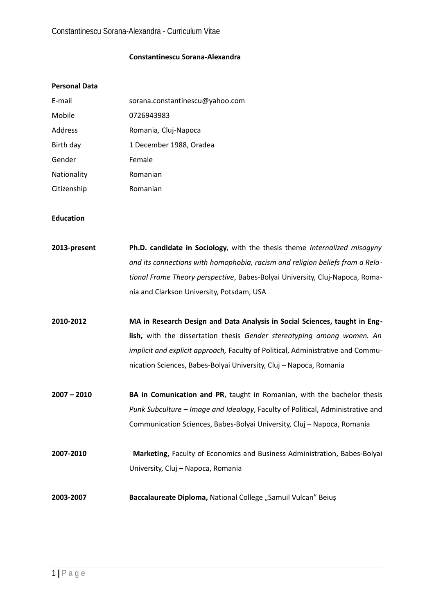# **Constantinescu Sorana-Alexandra**

# **Personal Data**

| E-mail      | sorana.constantinescu@yahoo.com |
|-------------|---------------------------------|
| Mobile      | 0726943983                      |
| Address     | Romania, Cluj-Napoca            |
| Birth day   | 1 December 1988, Oradea         |
| Gender      | Female                          |
| Nationality | Romanian                        |
| Citizenship | Romanian                        |

#### **Education**

| 2013-present  | Ph.D. candidate in Sociology, with the thesis theme Internalized misogyny       |
|---------------|---------------------------------------------------------------------------------|
|               | and its connections with homophobia, racism and religion beliefs from a Rela-   |
|               | tional Frame Theory perspective, Babes-Bolyai University, Cluj-Napoca, Roma-    |
|               | nia and Clarkson University, Potsdam, USA                                       |
| 2010-2012     | MA in Research Design and Data Analysis in Social Sciences, taught in Eng-      |
|               | lish, with the dissertation thesis Gender stereotyping among women. An          |
|               | implicit and explicit approach, Faculty of Political, Administrative and Commu- |
|               | nication Sciences, Babes-Bolyai University, Cluj - Napoca, Romania              |
| $2007 - 2010$ | BA in Comunication and PR, taught in Romanian, with the bachelor thesis         |
|               | Punk Subculture - Image and Ideology, Faculty of Political, Administrative and  |
|               | Communication Sciences, Babes-Bolyai University, Cluj - Napoca, Romania         |
| 2007-2010     | Marketing, Faculty of Economics and Business Administration, Babes-Bolyai       |
|               | University, Cluj - Napoca, Romania                                              |
| 2003-2007     | Baccalaureate Diploma, National College "Samuil Vulcan" Beiuș                   |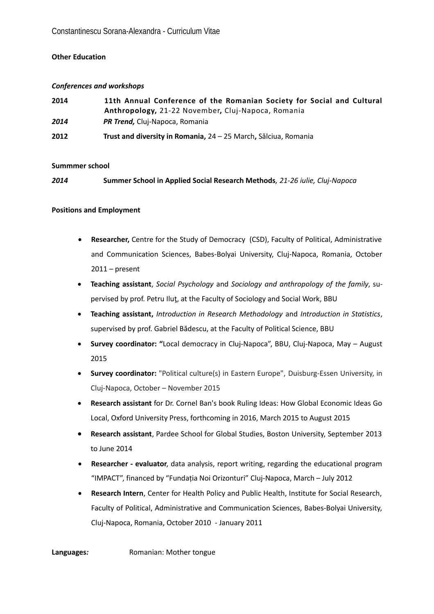# **Other Education**

#### *Conferences and workshops*

| 2014 | 11th Annual Conference of the Romanian Society for Social and Cultural<br>Anthropology, 21-22 November, Cluj-Napoca, Romania |
|------|------------------------------------------------------------------------------------------------------------------------------|
| 2014 | <b>PR Trend, Cluj-Napoca, Romania</b>                                                                                        |
| 2012 | Trust and diversity in Romania, 24 - 25 March, Sălciua, Romania                                                              |

#### **Summmer school**

*2014* **Summer School in Applied Social Research Methods***, 21-26 iulie, Cluj-Napoca*

#### **Positions and Employment**

- **Researcher,** Centre for the Study of Democracy (CSD), Faculty of Political, Administrative and Communication Sciences, Babes-Bolyai University, Cluj-Napoca, Romania, October  $2011$  – present
- **Teaching assistant**, *Social Psychology* and *Sociology and anthropology of the family*, supervised by prof. Petru Iluţ, at the Faculty of Sociology and Social Work, BBU
- **Teaching assistant,** *Introduction in Research Methodology* and *Introduction in Statistics*, supervised by prof. Gabriel Bădescu, at the Faculty of Political Science, BBU
- **Survey coordinator: "**Local democracy in Cluj-Napoca", BBU, Cluj-Napoca, May August 2015
- **Survey coordinator:** "Political culture(s) in Eastern Europe", Duisburg-Essen University, in Cluj-Napoca, October – November 2015
- **Research assistant** for Dr. Cornel Ban's book Ruling Ideas: How Global Economic Ideas Go Local, Oxford University Press, forthcoming in 2016, March 2015 to August 2015
- **Research assistant**, Pardee School for Global Studies, Boston University, September 2013 to June 2014
- **Researcher evaluator**, data analysis, report writing, regarding the educational program "IMPACT", financed by "Fundația Noi Orizonturi" Cluj-Napoca, March – July 2012
- **Research Intern**, Center for Health Policy and Public Health, Institute for Social Research, Faculty of Political, Administrative and Communication Sciences, Babes-Bolyai University, Cluj-Napoca, Romania, October 2010 - January 2011